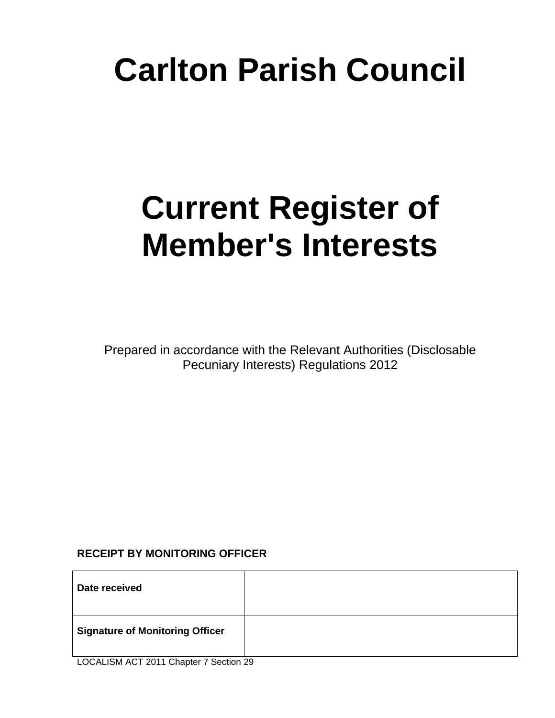# **Carlton Parish Council**

# **Current Register of Member's Interests**

Prepared in accordance with the Relevant Authorities (Disclosable Pecuniary Interests) Regulations 2012

## **RECEIPT BY MONITORING OFFICER**

| Date received                          |  |
|----------------------------------------|--|
| <b>Signature of Monitoring Officer</b> |  |

LOCALISM ACT 2011 Chapter 7 Section 29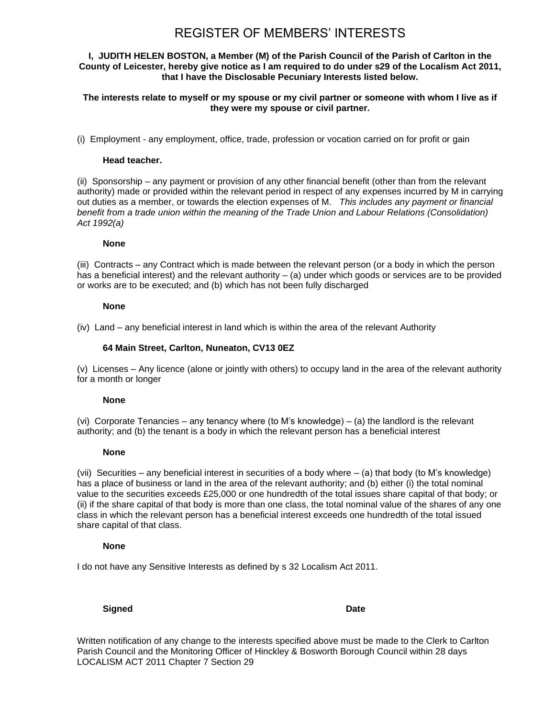#### **I, JUDITH HELEN BOSTON, a Member (M) of the Parish Council of the Parish of Carlton in the County of Leicester, hereby give notice as I am required to do under s29 of the Localism Act 2011, that I have the Disclosable Pecuniary Interests listed below.**

**The interests relate to myself or my spouse or my civil partner or someone with whom I live as if they were my spouse or civil partner.**

(i) Employment - any employment, office, trade, profession or vocation carried on for profit or gain

#### **Head teacher.**

(ii) Sponsorship – any payment or provision of any other financial benefit (other than from the relevant authority) made or provided within the relevant period in respect of any expenses incurred by M in carrying out duties as a member, or towards the election expenses of M. *This includes any payment or financial benefit from a trade union within the meaning of the Trade Union and Labour Relations (Consolidation) Act 1992(a)*

#### **None**

(iii) Contracts – any Contract which is made between the relevant person (or a body in which the person has a beneficial interest) and the relevant authority – (a) under which goods or services are to be provided or works are to be executed; and (b) which has not been fully discharged

#### **None**

(iv) Land – any beneficial interest in land which is within the area of the relevant Authority

#### **64 Main Street, Carlton, Nuneaton, CV13 0EZ**

(v) Licenses – Any licence (alone or jointly with others) to occupy land in the area of the relevant authority for a month or longer

#### **None**

(vi) Corporate Tenancies – any tenancy where (to M's knowledge) – (a) the landlord is the relevant authority; and (b) the tenant is a body in which the relevant person has a beneficial interest

#### **None**

(vii) Securities – any beneficial interest in securities of a body where – (a) that body (to M's knowledge) has a place of business or land in the area of the relevant authority; and (b) either (i) the total nominal value to the securities exceeds £25,000 or one hundredth of the total issues share capital of that body; or (ii) if the share capital of that body is more than one class, the total nominal value of the shares of any one class in which the relevant person has a beneficial interest exceeds one hundredth of the total issued share capital of that class.

#### **None**

I do not have any Sensitive Interests as defined by s 32 Localism Act 2011.

**Signed** Date

Written notification of any change to the interests specified above must be made to the Clerk to Carlton Parish Council and the Monitoring Officer of Hinckley & Bosworth Borough Council within 28 days LOCALISM ACT 2011 Chapter 7 Section 29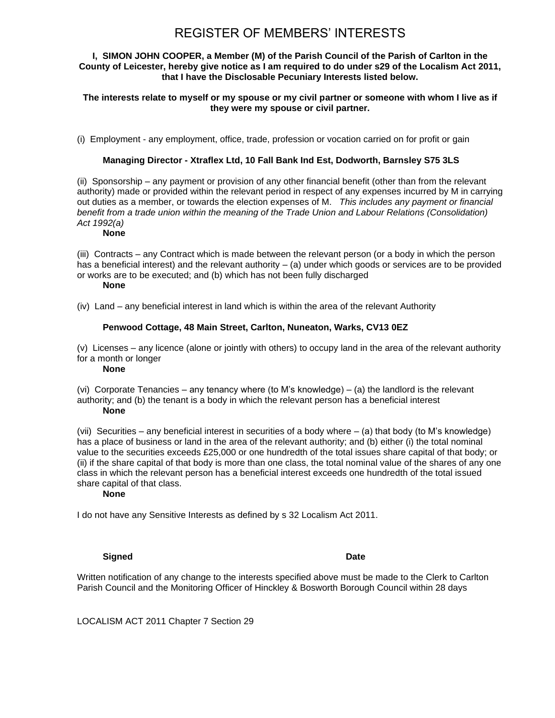#### **I, SIMON JOHN COOPER, a Member (M) of the Parish Council of the Parish of Carlton in the County of Leicester, hereby give notice as I am required to do under s29 of the Localism Act 2011, that I have the Disclosable Pecuniary Interests listed below.**

**The interests relate to myself or my spouse or my civil partner or someone with whom I live as if they were my spouse or civil partner.**

(i) Employment - any employment, office, trade, profession or vocation carried on for profit or gain

#### **Managing Director - Xtraflex Ltd, 10 Fall Bank Ind Est, Dodworth, Barnsley S75 3LS**

(ii) Sponsorship – any payment or provision of any other financial benefit (other than from the relevant authority) made or provided within the relevant period in respect of any expenses incurred by M in carrying out duties as a member, or towards the election expenses of M. *This includes any payment or financial benefit from a trade union within the meaning of the Trade Union and Labour Relations (Consolidation) Act 1992(a)*

#### **None**

(iii) Contracts – any Contract which is made between the relevant person (or a body in which the person has a beneficial interest) and the relevant authority – (a) under which goods or services are to be provided or works are to be executed; and (b) which has not been fully discharged

#### **None**

(iv) Land – any beneficial interest in land which is within the area of the relevant Authority

#### **Penwood Cottage, 48 Main Street, Carlton, Nuneaton, Warks, CV13 0EZ**

(v) Licenses – any licence (alone or jointly with others) to occupy land in the area of the relevant authority for a month or longer

#### **None**

(vi) Corporate Tenancies – any tenancy where (to M's knowledge) – (a) the landlord is the relevant authority; and (b) the tenant is a body in which the relevant person has a beneficial interest **None**

(vii) Securities – any beneficial interest in securities of a body where – (a) that body (to M's knowledge) has a place of business or land in the area of the relevant authority; and (b) either (i) the total nominal value to the securities exceeds £25,000 or one hundredth of the total issues share capital of that body; or (ii) if the share capital of that body is more than one class, the total nominal value of the shares of any one class in which the relevant person has a beneficial interest exceeds one hundredth of the total issued share capital of that class.

#### **None**

I do not have any Sensitive Interests as defined by s 32 Localism Act 2011.

#### **Signed** Date

Written notification of any change to the interests specified above must be made to the Clerk to Carlton Parish Council and the Monitoring Officer of Hinckley & Bosworth Borough Council within 28 days

LOCALISM ACT 2011 Chapter 7 Section 29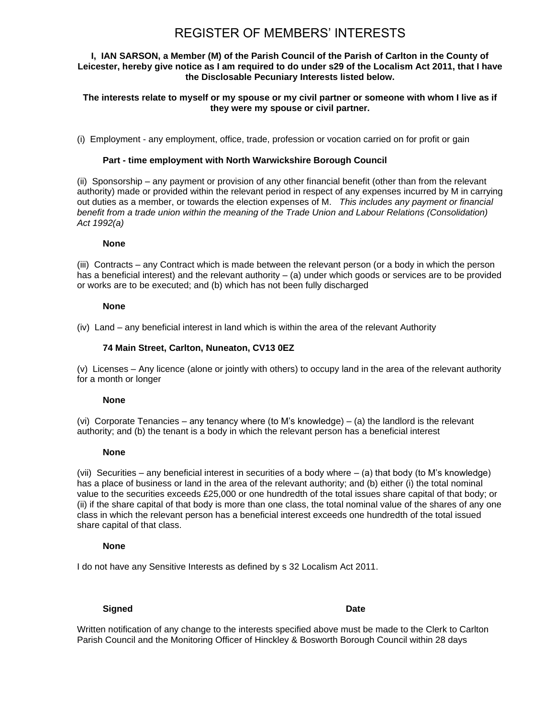#### **I, IAN SARSON, a Member (M) of the Parish Council of the Parish of Carlton in the County of Leicester, hereby give notice as I am required to do under s29 of the Localism Act 2011, that I have the Disclosable Pecuniary Interests listed below.**

#### **The interests relate to myself or my spouse or my civil partner or someone with whom I live as if they were my spouse or civil partner.**

(i) Employment - any employment, office, trade, profession or vocation carried on for profit or gain

#### **Part - time employment with North Warwickshire Borough Council**

(ii) Sponsorship – any payment or provision of any other financial benefit (other than from the relevant authority) made or provided within the relevant period in respect of any expenses incurred by M in carrying out duties as a member, or towards the election expenses of M. *This includes any payment or financial benefit from a trade union within the meaning of the Trade Union and Labour Relations (Consolidation) Act 1992(a)*

#### **None**

(iii) Contracts – any Contract which is made between the relevant person (or a body in which the person has a beneficial interest) and the relevant authority – (a) under which goods or services are to be provided or works are to be executed; and (b) which has not been fully discharged

#### **None**

(iv) Land – any beneficial interest in land which is within the area of the relevant Authority

#### **74 Main Street, Carlton, Nuneaton, CV13 0EZ**

(v) Licenses – Any licence (alone or jointly with others) to occupy land in the area of the relevant authority for a month or longer

#### **None**

(vi) Corporate Tenancies – any tenancy where (to M's knowledge) – (a) the landlord is the relevant authority; and (b) the tenant is a body in which the relevant person has a beneficial interest

#### **None**

(vii) Securities – any beneficial interest in securities of a body where – (a) that body (to M's knowledge) has a place of business or land in the area of the relevant authority; and (b) either (i) the total nominal value to the securities exceeds £25,000 or one hundredth of the total issues share capital of that body; or (ii) if the share capital of that body is more than one class, the total nominal value of the shares of any one class in which the relevant person has a beneficial interest exceeds one hundredth of the total issued share capital of that class.

### **None**

I do not have any Sensitive Interests as defined by s 32 Localism Act 2011.

### **Signed** Date

Written notification of any change to the interests specified above must be made to the Clerk to Carlton Parish Council and the Monitoring Officer of Hinckley & Bosworth Borough Council within 28 days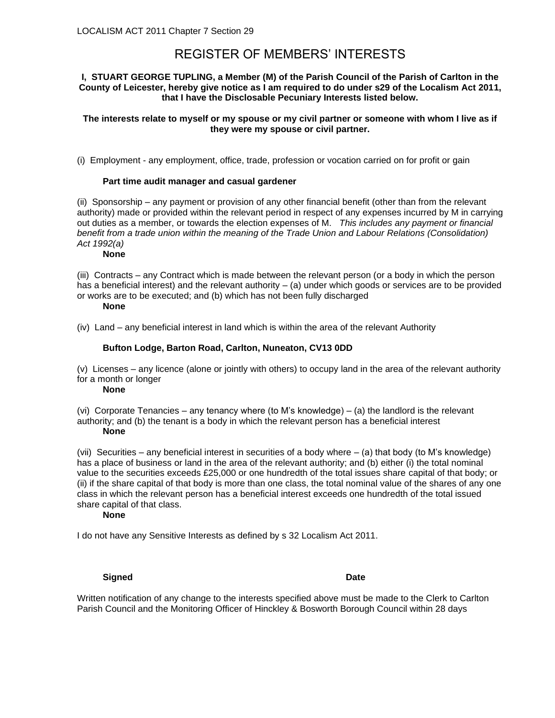#### **I, STUART GEORGE TUPLING, a Member (M) of the Parish Council of the Parish of Carlton in the County of Leicester, hereby give notice as I am required to do under s29 of the Localism Act 2011, that I have the Disclosable Pecuniary Interests listed below.**

#### **The interests relate to myself or my spouse or my civil partner or someone with whom I live as if they were my spouse or civil partner.**

(i) Employment - any employment, office, trade, profession or vocation carried on for profit or gain

#### **Part time audit manager and casual gardener**

(ii) Sponsorship – any payment or provision of any other financial benefit (other than from the relevant authority) made or provided within the relevant period in respect of any expenses incurred by M in carrying out duties as a member, or towards the election expenses of M. *This includes any payment or financial benefit from a trade union within the meaning of the Trade Union and Labour Relations (Consolidation) Act 1992(a)*

#### **None**

(iii) Contracts – any Contract which is made between the relevant person (or a body in which the person has a beneficial interest) and the relevant authority – (a) under which goods or services are to be provided or works are to be executed; and (b) which has not been fully discharged

#### **None**

(iv) Land – any beneficial interest in land which is within the area of the relevant Authority

#### **Bufton Lodge, Barton Road, Carlton, Nuneaton, CV13 0DD**

(v) Licenses – any licence (alone or jointly with others) to occupy land in the area of the relevant authority for a month or longer

#### **None**

(vi) Corporate Tenancies – any tenancy where (to M's knowledge) – (a) the landlord is the relevant authority; and (b) the tenant is a body in which the relevant person has a beneficial interest **None**

(vii) Securities – any beneficial interest in securities of a body where – (a) that body (to M's knowledge) has a place of business or land in the area of the relevant authority; and (b) either (i) the total nominal value to the securities exceeds £25,000 or one hundredth of the total issues share capital of that body; or (ii) if the share capital of that body is more than one class, the total nominal value of the shares of any one class in which the relevant person has a beneficial interest exceeds one hundredth of the total issued share capital of that class.

#### **None**

I do not have any Sensitive Interests as defined by s 32 Localism Act 2011.

#### **Signed** Date

Written notification of any change to the interests specified above must be made to the Clerk to Carlton Parish Council and the Monitoring Officer of Hinckley & Bosworth Borough Council within 28 days